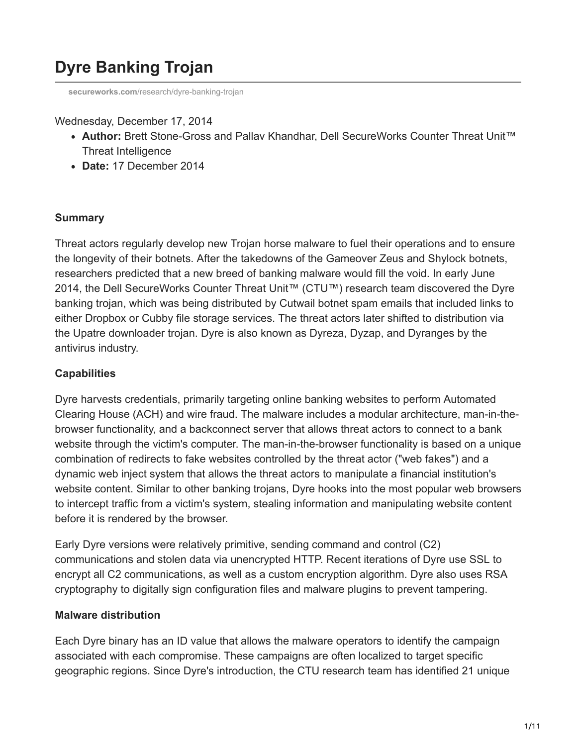# **Dyre Banking Trojan**

**secureworks.com**[/research/dyre-banking-trojan](https://www.secureworks.com/research/dyre-banking-trojan)

#### Wednesday, December 17, 2014

- **Author:** Brett Stone-Gross and Pallav Khandhar, Dell SecureWorks Counter Threat Unit™ Threat Intelligence
- **Date:** 17 December 2014

#### **Summary**

Threat actors regularly develop new Trojan horse malware to fuel their operations and to ensure the longevity of their botnets. After the takedowns of the Gameover Zeus and Shylock botnets, researchers predicted that a new breed of banking malware would fill the void. In early June 2014, the Dell SecureWorks Counter Threat Unit™ (CTU™) research team discovered the Dyre banking trojan, which was being distributed by Cutwail botnet spam emails that included links to either Dropbox or Cubby file storage services. The threat actors later shifted to distribution via the Upatre downloader trojan. Dyre is also known as Dyreza, Dyzap, and Dyranges by the antivirus industry.

## **Capabilities**

Dyre harvests credentials, primarily targeting online banking websites to perform Automated Clearing House (ACH) and wire fraud. The malware includes a modular architecture, man-in-thebrowser functionality, and a backconnect server that allows threat actors to connect to a bank website through the victim's computer. The man-in-the-browser functionality is based on a unique combination of redirects to fake websites controlled by the threat actor ("web fakes") and a dynamic web inject system that allows the threat actors to manipulate a financial institution's website content. Similar to other banking trojans, Dyre hooks into the most popular web browsers to intercept traffic from a victim's system, stealing information and manipulating website content before it is rendered by the browser.

Early Dyre versions were relatively primitive, sending command and control (C2) communications and stolen data via unencrypted HTTP. Recent iterations of Dyre use SSL to encrypt all C2 communications, as well as a custom encryption algorithm. Dyre also uses RSA cryptography to digitally sign configuration files and malware plugins to prevent tampering.

## **Malware distribution**

Each Dyre binary has an ID value that allows the malware operators to identify the campaign associated with each compromise. These campaigns are often localized to target specific geographic regions. Since Dyre's introduction, the CTU research team has identified 21 unique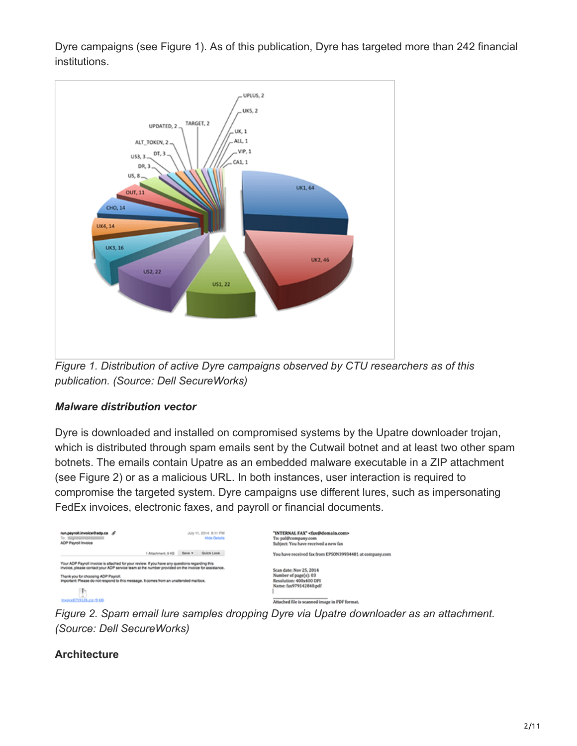Dyre campaigns (see Figure 1). As of this publication, Dyre has targeted more than 242 financial institutions.



*Figure 1. Distribution of active Dyre campaigns observed by CTU researchers as of this publication. (Source: Dell SecureWorks)*

## *Malware distribution vector*

Dyre is downloaded and installed on compromised systems by the Upatre downloader trojan, which is distributed through spam emails sent by the Cutwail botnet and at least two other spam botnets. The emails contain Upatre as an embedded malware executable in a ZIP attachment (see Figure 2) or as a malicious URL. In both instances, user interaction is required to compromise the targeted system. Dyre campaigns use different lures, such as impersonating FedEx invoices, electronic faxes, and payroll or financial documents.

| run.payroll.invoice@adp.ca &<br>To: Lagrance en anno<br>ADP Payroll Invoice                                                                                                                                                                                                                                                                                             |                    |        | July 11, 2014 8:11 PM<br><b>Hide Details</b> | "INTERNAL FAX" <fax@domain.com><br/>To: pal@company.com<br/>Subject: You have received a new fax</fax@domain.com>                                      |
|-------------------------------------------------------------------------------------------------------------------------------------------------------------------------------------------------------------------------------------------------------------------------------------------------------------------------------------------------------------------------|--------------------|--------|----------------------------------------------|--------------------------------------------------------------------------------------------------------------------------------------------------------|
|                                                                                                                                                                                                                                                                                                                                                                         | 1 Attachment, 9 KB | Sava v | Quick Look                                   | You have received fax from EPSON39934481 at company.com                                                                                                |
| Your ADP Payroll invoice is attached for your review. If you have any questions regarding this<br>invoice, please contact your ADP service team at the number provided on the invoice for assistance.<br>Thank you for choosing ADP Payroll.<br>Important: Please do not respond to this message. It comes from an unattended mailbox.<br>ь<br>Invoice8759126.zia.r9.KB |                    |        |                                              | Scan date: Nov 25, 2014<br>Number of page(s): 03<br>Resolution: 400x400 DPI<br>Name: fax979142840.pdf<br>Attached file is scanned image in PDF format. |

*Figure 2. Spam email lure samples dropping Dyre via Upatre downloader as an attachment. (Source: Dell SecureWorks)*

# **Architecture**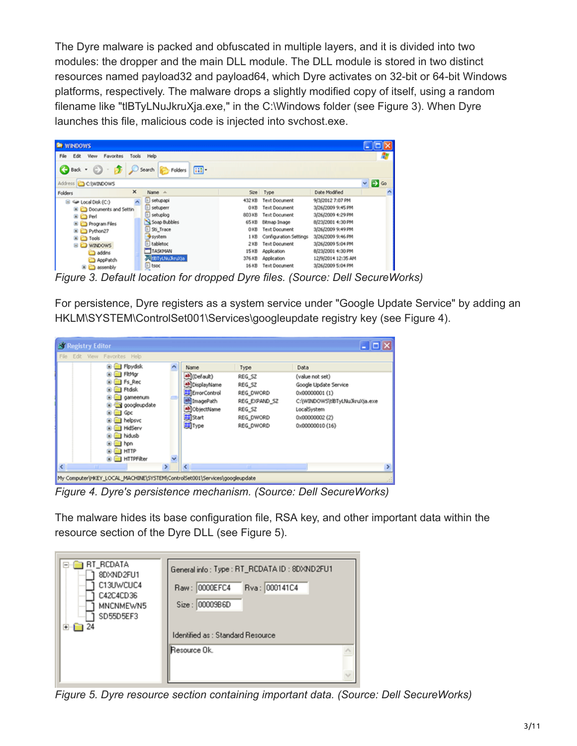The Dyre malware is packed and obfuscated in multiple layers, and it is divided into two modules: the dropper and the main DLL module. The DLL module is stored in two distinct resources named payload32 and payload64, which Dyre activates on 32-bit or 64-bit Windows platforms, respectively. The malware drops a slightly modified copy of itself, using a random filename like "tlBTyLNuJkruXja.exe," in the C:\Windows folder (see Figure 3). When Dyre launches this file, malicious code is injected into svchost.exe.

| <b>RewINDOWS</b>                            |                         |        |                        |                    |                        |
|---------------------------------------------|-------------------------|--------|------------------------|--------------------|------------------------|
| Edit<br>Favorites<br>Fåe<br>View<br>Tools   | Help                    |        |                        |                    |                        |
| Back - C - B C Search C Folders             | 画                       |        |                        |                    |                        |
| Address C CAWINDOWS                         |                         |        |                        |                    | $\vee$ $\Box$ $\infty$ |
| $\times$<br>Folders                         | Name A                  |        | Size Type              | Date Modified      | n                      |
| ×<br>$\boxplus$ $\subseteq$ Local Disk (C:) | <b>B</b> setupapi       | 43218  | Text Document          | 9/3/2012 7:07 PM   |                        |
| Cill Documents and Settin                   | setuperr<br>Þ           | 0 KB   | Text Document          | 3/26/2009 9:45 PM  |                        |
| Ei Ca Perl                                  | setuplog                | 803 KB | Text Document          | 3/26/2009 4:29 PM  |                        |
| <b>B C</b> Program Files                    | Soap Bubbles            | 65 KB  | Bitmap Image           | 8/23/2001 4:30 PM  |                        |
| B C Python27                                | Sti_Trace               | 0 KB   | Text Document          | 3/26/2009 9:49 PM  |                        |
| <b>ED</b> Tools                             | <b>System</b>           | 1 KB   | Configuration Settings | 3/26/2009 9:46 PM  |                        |
| <b>BU WINDOWS</b>                           | E tabletoc              | 2 KB   | Text Document          | 3/26/2009 5:04 PM  |                        |
| addins                                      | TASKNAN                 | 15 KB  | Application            | 8/23/2001 4:30 PM  |                        |
| AppPatch                                    | <b>CONTYLINUE PLATE</b> | 376 KB | Application            | 12/9/2014 12:35 AM |                        |
| assembly                                    | $E$ tsoc                | 16 KB  | Text Document          | 3/26/2009 5:04 PM  |                        |

*Figure 3. Default location for dropped Dyre files. (Source: Dell SecureWorks)*

For persistence, Dyre registers as a system service under "Google Update Service" by adding an HKLM\SYSTEM\ControlSet001\Services\googleupdate registry key (see Figure 4).

| <b>N' Registry Editor</b>                                                                                                                                                                                                     |               |                                                                                                               |                                                                                            | $ \Box$ $\times$                                                                                                                                          |
|-------------------------------------------------------------------------------------------------------------------------------------------------------------------------------------------------------------------------------|---------------|---------------------------------------------------------------------------------------------------------------|--------------------------------------------------------------------------------------------|-----------------------------------------------------------------------------------------------------------------------------------------------------------|
| File Edit View Favorites Help                                                                                                                                                                                                 |               |                                                                                                               |                                                                                            |                                                                                                                                                           |
| <b>E El Floydsk</b><br><b>Ell FitMor</b><br><b>Fs</b> Rec<br><b>Rdsk</b><br>gameenum<br>googleupdate<br>$\Box$ God<br><b>Ill</b> helpsyc<br><b>HidServ</b><br><b>Thidusb</b><br><b>in</b> hon<br>$\Box$ HTTP<br>G-C HTTPFiker | v             | Name<br>ab (Default)<br>b DisplayName<br>ErrorControl<br>ab ImagePath<br>ObjectName<br><b>副Start</b><br>题Type | Type<br>REG SZ<br>REG SZ<br>REG DWORD<br>REG EXPAND SZ<br>REG SZ<br>REG_DWORD<br>REG DWORD | Data<br>(value not set)<br>Google Update Service<br>0x00000001 (1)<br>C:\\WINDOWS\t\BTyLNuJkruXja.exe<br>LocalSystem<br>0x00000002 (2)<br>0x00000010 (16) |
|                                                                                                                                                                                                                               | $\rightarrow$ |                                                                                                               |                                                                                            |                                                                                                                                                           |
| My Computer\HKEY_LOCAL_MACHINE\SYSTEM\ControlSet001\Services\googleupdate                                                                                                                                                     |               |                                                                                                               |                                                                                            | AB.                                                                                                                                                       |

*Figure 4. Dyre's persistence mechanism. (Source: Dell SecureWorks)*

The malware hides its base configuration file, RSA key, and other important data within the resource section of the Dyre DLL (see Figure 5).

| RT_RCDATA<br>8DXND2FU1<br>C13UWCUC4<br>1.11<br>C42C4CD36<br>5.<br>MNCNMEWN5<br>.<br>SD55D5EF3<br><b>L.</b><br>24 | General info: Type: RT_RCDATA ID: 8DXND2FU1<br>Rva: 000141C4<br>Raw: 0000EFC4<br>00009B6D<br>Size:<br>Identified as: Standard Resource |
|------------------------------------------------------------------------------------------------------------------|----------------------------------------------------------------------------------------------------------------------------------------|
|                                                                                                                  | Resource Ok.                                                                                                                           |

*Figure 5. Dyre resource section containing important data. (Source: Dell SecureWorks)*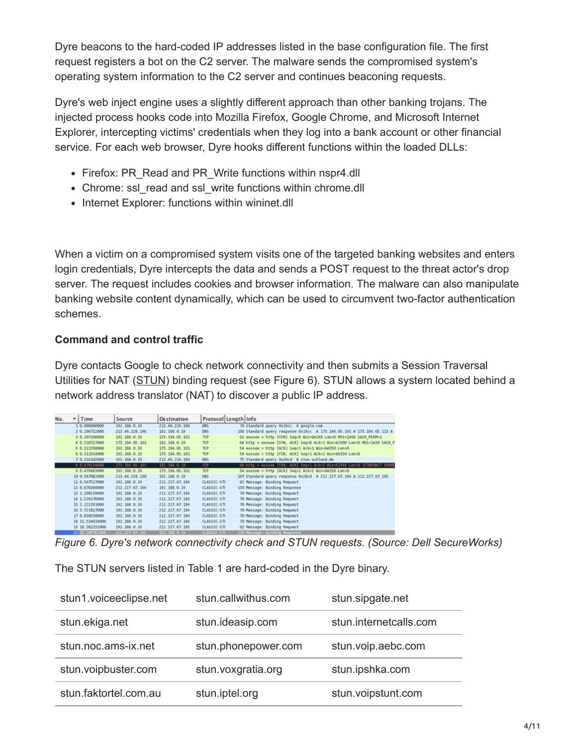Dyre beacons to the hard-coded IP addresses listed in the base configuration file. The first request registers a bot on the C2 server. The malware sends the compromised system's operating system information to the C2 server and continues beaconing requests.

Dyre's web inject engine uses a slightly different approach than other banking trojans. The injected process hooks code into Mozilla Firefox, Google Chrome, and Microsoft Internet Explorer, intercepting victims' credentials when they log into a bank account or other financial service. For each web browser, Dyre hooks different functions within the loaded DLLs:

- Firefox: PR\_Read and PR\_Write functions within nspr4.dll
- Chrome: ssl\_read and ssl\_write functions within chrome.dll
- Internet Explorer: functions within wininet.dll

When a victim on a compromised system visits one of the targeted banking websites and enters login credentials, Dyre intercepts the data and sends a POST request to the threat actor's drop server. The request includes cookies and browser information. The malware can also manipulate banking website content dynamically, which can be used to circumvent two-factor authentication schemes.

## **Command and control traffic**

Dyre contacts Google to check network connectivity and then submits a Session Traversal Utilities for NAT [\(STUN\)](http://en.wikipedia.org/wiki/STUN) binding request (see Figure 6). STUN allows a system located behind a network address translator (NAT) to discover a public IP address.

| No. | $-$ Time        | Source         | Destination    | Protocol Length Info |                                                                         |
|-----|-----------------|----------------|----------------|----------------------|-------------------------------------------------------------------------|
|     | 1 0.000000000   | 192.168.0.19   | 213.46.228.196 | DNS-                 | 70 Standard query Oxiloc A google.com                                   |
|     | 2 0.204722000   | 213.46.228.196 | 192.168.0.19   | CR/S                 | 166 Standard query response Ox19cc A 173.194.65.101 A 173.194.65.113 A  |
|     | 3 0.207268000   | 192.168.0.19   | 173.194.65.101 | TOP:                 | 62 exosee > http [SYN] Seq=0 Win=64240 Len=0 P6S=1460 SACK PERM=1       |
|     | 4 0.310727000   | 173.194.65.101 | 192.168.0.19   | <b>TOP</b>           | 64 http > exosee [SYN, ACK] Seq=0 Ack=1 Win=42900 Len=0 MSS=1430 SACK P |
|     | 5 0.311360000   | 192.168.0.19   | 173.194.65.101 | TOP                  | 54 exosee > http [ACK] Seq=1 Ack=1 Win=64350 Len=0                      |
|     | 6 0.311554000   | 192.168.0.19   | 173.194.65.101 | TOP                  | 54 exosee > http [FIN, ACK] Seq=1 Ack=1 Win=64350 Len=0                 |
|     | 7 0.314102000   | 192.168.0.19   | 213.46.228.196 | DNS                  | 75 Standard query Ox28cd A stun.schlund.de                              |
|     | 9 0.479224000   | 273.294.65.201 | 192.168.0.19   | TOP                  | 64 http:> exosee [FIN, ACK] Seq=1 Ack=2 Win=42899 Len=0 (ETHERNET FRAME |
|     | 9 0.479483000   | 192.168.0.19   | 173.194.65.101 | TOP                  | 54 exosee > http [ACK] Seq=2 Ack=2 Win=64350 Len=0                      |
|     | 10 0.567082000  | 213.46.228.196 | 192.168.0.19   | DNS                  | 107 Standard query response Ox20cd A 212.227.67.194 A 212.227.67.195    |
|     | 11 0.567527000  | 192.168.0.19   | 212.227.67.194 | CLASSIC-STI          | 62 Message: Binding Request                                             |
|     | 12 0.670284000  | 212.227.67.194 | 192.168.0.19   | CLASSIC-STI          | 130 Message: Banding Response                                           |
|     | 13 1.209219000  | 192.168.0.19   | 212.227.67.194 | CLASSIC-STI          | 70 Message: Bänding Request                                             |
|     | 14 1.519178000  | 192.168.0.19   | 212.227.67.194 | CLASSIC-STI          | 70 Message: Bänding Request                                             |
|     | 15 2.222291000  | 192.168.0.19   | 212.227.67.194 | CLASSIC-STI          | 70 Message: Banding Request                                             |
|     | 16 3.721627000  | 192.168.0.19   | 212.227.67.194 | <b>CLASSIC-STIL</b>  | 70 Message: Banding Request                                             |
|     | 17 6.830530000  | 192.168.0.19   | 212.227.67.194 | CLASSIC-STI          | 70 Message: Bänding Request                                             |
|     | 18 11.534619000 | 192.168.0.19   | 212.227.67.194 | CLASSIC-STL          | 70 Message: Bänding Request                                             |
|     | 19 18.362332000 | 192.168.0.19   | 212.227.67.195 | CLASSIC-STI          | 62 Message: Banding Request                                             |
|     | 20128.505782000 | 212 227 67 595 | 192.368.0.19   | <b>CLASSIC-SIL</b>   | 130 Message: Banding Response                                           |

*Figure 6. Dyre's network connectivity check and STUN requests. (Source: Dell SecureWorks)*

The STUN servers listed in Table 1 are hard-coded in the Dyre binary.

| stun1.voiceeclipse.net | stun.callwithus.com | stun.sipgate.net       |
|------------------------|---------------------|------------------------|
| stun.ekiga.net         | stun.ideasip.com    | stun.internetcalls.com |
| stun.noc.ams-ix.net    | stun.phonepower.com | stun.voip.aebc.com     |
| stun.voipbuster.com    | stun.voxgratia.org  | stun.ipshka.com        |
| stun.faktortel.com.au  | stun.iptel.org      | stun.voipstunt.com     |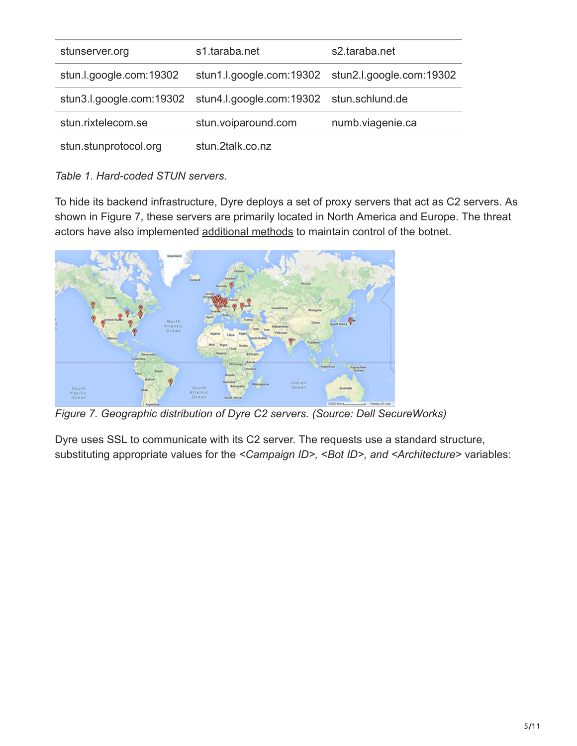| stunserver.org          | s1.taraba.net                                                     | s2.taraba.net                                     |
|-------------------------|-------------------------------------------------------------------|---------------------------------------------------|
| stun.l.google.com:19302 |                                                                   | stun1.l.google.com:19302 stun2.l.google.com:19302 |
|                         | stun3.l.google.com:19302 stun4.l.google.com:19302 stun.schlund.de |                                                   |
| stun.rixtelecom.se      | stun.voiparound.com                                               | numb.viagenie.ca                                  |
| stun.stunprotocol.org   | stun.2talk.co.nz                                                  |                                                   |

*Table 1. Hard-coded STUN servers.*

To hide its backend infrastructure, Dyre deploys a set of proxy servers that act as C2 servers. As shown in Figure 7, these servers are primarily located in North America and Europe. The threat actors have also implemented [additional methods](#page-6-0) to maintain control of the botnet.



*Figure 7. Geographic distribution of Dyre C2 servers. (Source: Dell SecureWorks)*

Dyre uses SSL to communicate with its C2 server. The requests use a standard structure, substituting appropriate values for the *<Campaign ID>,* <*Bot ID>, and <Architecture>* variables: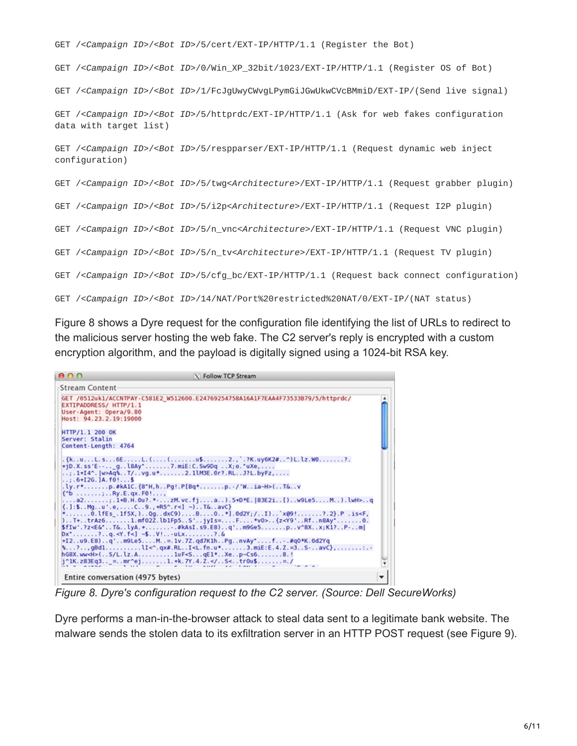```
GET /<Campaign ID>/<Bot ID>/5/cert/EXT-IP/HTTP/1.1 (Register the Bot)
GET /<Campaign ID>/<Bot ID>/0/Win_XP_32bit/1023/EXT-IP/HTTP/1.1 (Register OS of Bot)
GET /<Campaign ID>/<Bot ID>/1/FcJgUwyCWvgLPymGiJGwUkwCVcBMmiD/EXT-IP/(Send live signal)
GET /<Campaign ID>/<Bot ID>/5/httprdc/EXT-IP/HTTP/1.1 (Ask for web fakes configuration
data with target list)
GET /<Campaign ID>/<Bot ID>/5/respparser/EXT-IP/HTTP/1.1 (Request dynamic web inject
configuration)
GET /<Campaign ID>/<Bot ID>/5/twg<Architecture>/EXT-IP/HTTP/1.1 (Request grabber plugin)
GET /<Campaign ID>/<Bot ID>/5/i2p<Architecture>/EXT-IP/HTTP/1.1 (Request I2P plugin)
GET /<Campaign ID>/<Bot ID>/5/n_vnc<Architecture>/EXT-IP/HTTP/1.1 (Request VNC plugin)
GET /<Campaign ID>/<Bot ID>/5/n_tv<Architecture>/EXT-IP/HTTP/1.1 (Request TV plugin)
GET /<Campaign ID>/<Bot ID>/5/cfg_bc/EXT-IP/HTTP/1.1 (Request back connect configuration)
GET /<Campaign ID>/<Bot ID>/14/NAT/Port%20restricted%20NAT/0/EXT-IP/(NAT status)
```
Figure 8 shows a Dyre request for the configuration file identifying the list of URLs to redirect to the malicious server hosting the web fake. The C2 server's reply is encrypted with a custom encryption algorithm, and the payload is digitally signed using a 1024-bit RSA key.

| 000                                                                                                                                                                             | <b>N</b> Follow TCP Stream                                                                                                                               |  |
|---------------------------------------------------------------------------------------------------------------------------------------------------------------------------------|----------------------------------------------------------------------------------------------------------------------------------------------------------|--|
| Stream Content-                                                                                                                                                                 |                                                                                                                                                          |  |
| EXTIPADDRESS/ HTTP/1.1<br>User-Agent: Opera/9.80<br>Host: 94.23.2.19:19000                                                                                                      | GET /0512uk1/ACCNTPAY-C581E2 W512600.E24769254758A16A1F7EAA4F73533B79/5/httprdc/                                                                         |  |
| HTTP/1.1 200 OK<br>Server: Stalin<br>Content-Length: 4764                                                                                                                       |                                                                                                                                                          |  |
| $1.1.6+126.$ JA. $f0!$ S                                                                                                                                                        | . {kuL.s6EL.((u\$2.,`.?K.uy6K2#^)L.lz.W0?.<br>$+jD.X$ . ss'E - - g. . l8Ay"7.miE: C. Sw9Dq X; o. "uXe,<br>; .1+I4^.  w>Aq%T/vg.u*2.1lM3E.0r?.RLJ?L.byFz, |  |
| $\{\hat{b}$ Ry.E.qx.F0!                                                                                                                                                         | .ly.r*p.#kA1C.{8*H,hPq!.P[Bq*p.-/'Wia~H>(T&v                                                                                                             |  |
|                                                                                                                                                                                 | a2;.1+B.H.Ou?.*-zM.vc.fja).5+D*E.[83E2i[)w9Le5M).lwH>q<br>$\{.\}$ :\$Mgu'.e,C9.,+R5^.r<] ~)T&avC}                                                        |  |
|                                                                                                                                                                                 | 0.lfEs .1f5X,)0gdxC9)B0*].0d2Y;/I)`x@9!?.2}.P .is <f,<br>T+trAz61.mf02Z.lb1Fp5S'jyIs=F*v0&gt;{z<y9'rfn8ay*0.< td=""><td></td></y9'rfn8ay*0.<></f,<br>    |  |
| $Dx^*$ ?q. <y.f<} -\$v!ulx?.&<="" td=""><td>[\$fIw'.?z<e&'t&lya.+#kasi.s9.e8)q'm9ge5pv^8xx;k1?p-m < td=""><td></td></e&'t&lya.+#kasi.s9.e8)q'm9ge5pv^8xx;k1?p-m <></td></y.f<}> | [\$fIw'.?z <e&'t&lya.+#kasi.s9.e8)q'm9ge5pv^8xx;k1?p-m < td=""><td></td></e&'t&lya.+#kasi.s9.e8)q'm9ge5pv^8xx;k1?p-m <>                                  |  |
|                                                                                                                                                                                 | +12u9.E8)q'm9Le5M=.1v.7Z.qd7K1hPgnvAy*f#q0*K.0d2Yq<br>N?,gBd1lI<^.qx#.RLI <l.fn.u*3.mie:e.4.z.=3s-avc},< td=""><td></td></l.fn.u*3.mie:e.4.z.=3s-avc},<> |  |
|                                                                                                                                                                                 | h68X.ww <h>(S/L.lz.AluF<sqe1*xep~cs68.!<br>j^1K.z83Eq3_=mr^ej1.+k.7Y.4.2.<td></td></sqe1*xep~cs68.!<br></h>                                              |  |
| Entire conversation (4975 bytes)                                                                                                                                                |                                                                                                                                                          |  |

*Figure 8. Dyre's configuration request to the C2 server. (Source: Dell SecureWorks)*

Dyre performs a man-in-the-browser attack to steal data sent to a legitimate bank website. The malware sends the stolen data to its exfiltration server in an HTTP POST request (see Figure 9).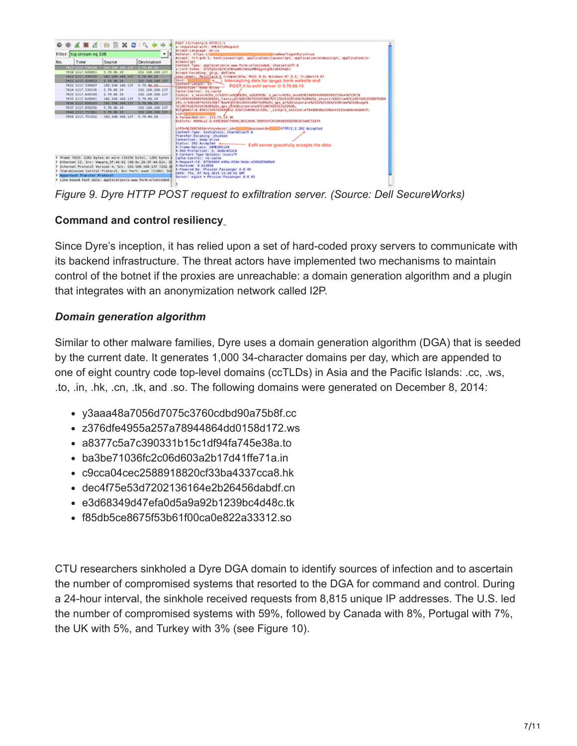

*Figure 9. Dyre HTTP POST request to exfiltration server. (Source: Dell SecureWorks)*

# <span id="page-6-0"></span>**Command and control resiliency**

Since Dyre's inception, it has relied upon a set of hard-coded proxy servers to communicate with its backend infrastructure. The threat actors have implemented two mechanisms to maintain control of the botnet if the proxies are unreachable: a domain generation algorithm and a plugin that integrates with an anonymization network called I2P.

## *Domain generation algorithm*

Similar to other malware families, Dyre uses a domain generation algorithm (DGA) that is seeded by the current date. It generates 1,000 34-character domains per day, which are appended to one of eight country code top-level domains (ccTLDs) in Asia and the Pacific Islands: .cc, .ws, .to, .in, .hk, .cn, .tk, and .so. The following domains were generated on December 8, 2014:

- y3aaa48a7056d7075c3760cdbd90a75b8f.cc
- z376dfe4955a257a78944864dd0158d172.ws
- a8377c5a7c390331b15c1df94fa745e38a.to
- ba3be71036fc2c06d603a2b17d41ffe71a.in
- c9cca04cec2588918820cf33ba4337cca8.hk
- dec4f75e53d7202136164e2b26456dabdf.cn
- e3d68349d47efa0d5a9a92b1239bc4d48c.tk
- f85db5ce8675f53b61f00ca0e822a33312.so

CTU researchers sinkholed a Dyre DGA domain to identify sources of infection and to ascertain the number of compromised systems that resorted to the DGA for command and control. During a 24-hour interval, the sinkhole received requests from 8,815 unique IP addresses. The U.S. led the number of compromised systems with 59%, followed by Canada with 8%, Portugal with 7%, the UK with 5%, and Turkey with 3% (see Figure 10).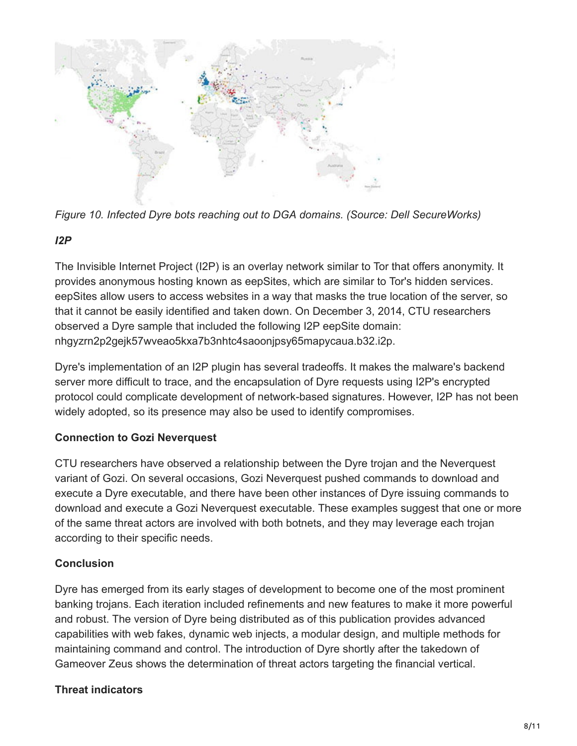

*Figure 10. Infected Dyre bots reaching out to DGA domains. (Source: Dell SecureWorks)*

## *I2P*

The Invisible Internet Project (I2P) is an overlay network similar to Tor that offers anonymity. It provides anonymous hosting known as eepSites, which are similar to Tor's hidden services. eepSites allow users to access websites in a way that masks the true location of the server, so that it cannot be easily identified and taken down. On December 3, 2014, CTU researchers observed a Dyre sample that included the following I2P eepSite domain: nhgyzrn2p2gejk57wveao5kxa7b3nhtc4saoonjpsy65mapycaua.b32.i2p.

Dyre's implementation of an I2P plugin has several tradeoffs. It makes the malware's backend server more difficult to trace, and the encapsulation of Dyre requests using I2P's encrypted protocol could complicate development of network-based signatures. However, I2P has not been widely adopted, so its presence may also be used to identify compromises.

# **Connection to Gozi Neverquest**

CTU researchers have observed a relationship between the Dyre trojan and the Neverquest variant of Gozi. On several occasions, Gozi Neverquest pushed commands to download and execute a Dyre executable, and there have been other instances of Dyre issuing commands to download and execute a Gozi Neverquest executable. These examples suggest that one or more of the same threat actors are involved with both botnets, and they may leverage each trojan according to their specific needs.

## **Conclusion**

Dyre has emerged from its early stages of development to become one of the most prominent banking trojans. Each iteration included refinements and new features to make it more powerful and robust. The version of Dyre being distributed as of this publication provides advanced capabilities with web fakes, dynamic web injects, a modular design, and multiple methods for maintaining command and control. The introduction of Dyre shortly after the takedown of Gameover Zeus shows the determination of threat actors targeting the financial vertical.

# **Threat indicators**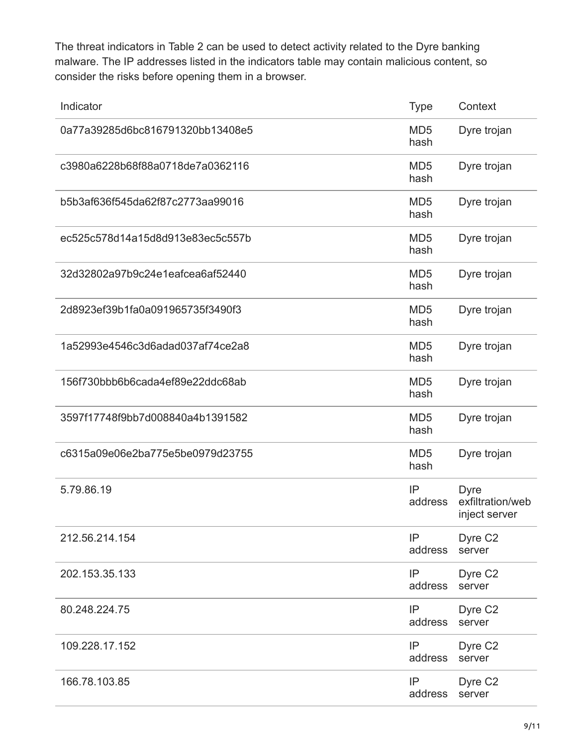The threat indicators in Table 2 can be used to detect activity related to the Dyre banking malware. The IP addresses listed in the indicators table may contain malicious content, so consider the risks before opening them in a browser.

| Indicator                        | <b>Type</b>             | Context                                          |
|----------------------------------|-------------------------|--------------------------------------------------|
| 0a77a39285d6bc816791320bb13408e5 | MD <sub>5</sub><br>hash | Dyre trojan                                      |
| c3980a6228b68f88a0718de7a0362116 | MD <sub>5</sub><br>hash | Dyre trojan                                      |
| b5b3af636f545da62f87c2773aa99016 | MD <sub>5</sub><br>hash | Dyre trojan                                      |
| ec525c578d14a15d8d913e83ec5c557b | MD <sub>5</sub><br>hash | Dyre trojan                                      |
| 32d32802a97b9c24e1eafcea6af52440 | MD <sub>5</sub><br>hash | Dyre trojan                                      |
| 2d8923ef39b1fa0a091965735f3490f3 | MD <sub>5</sub><br>hash | Dyre trojan                                      |
| 1a52993e4546c3d6adad037af74ce2a8 | MD <sub>5</sub><br>hash | Dyre trojan                                      |
| 156f730bbb6b6cada4ef89e22ddc68ab | MD <sub>5</sub><br>hash | Dyre trojan                                      |
| 3597f17748f9bb7d008840a4b1391582 | MD <sub>5</sub><br>hash | Dyre trojan                                      |
| c6315a09e06e2ba775e5be0979d23755 | MD <sub>5</sub><br>hash | Dyre trojan                                      |
| 5.79.86.19                       | IP<br>address           | <b>Dyre</b><br>exfiltration/web<br>inject server |
| 212.56.214.154                   | IP<br>address           | Dyre C <sub>2</sub><br>server                    |
| 202.153.35.133                   | IP<br>address           | Dyre C <sub>2</sub><br>server                    |
| 80.248.224.75                    | IP<br>address           | Dyre C <sub>2</sub><br>server                    |
| 109.228.17.152                   | IP<br>address           | Dyre C <sub>2</sub><br>server                    |
| 166.78.103.85                    | IP<br>address           | Dyre C <sub>2</sub><br>server                    |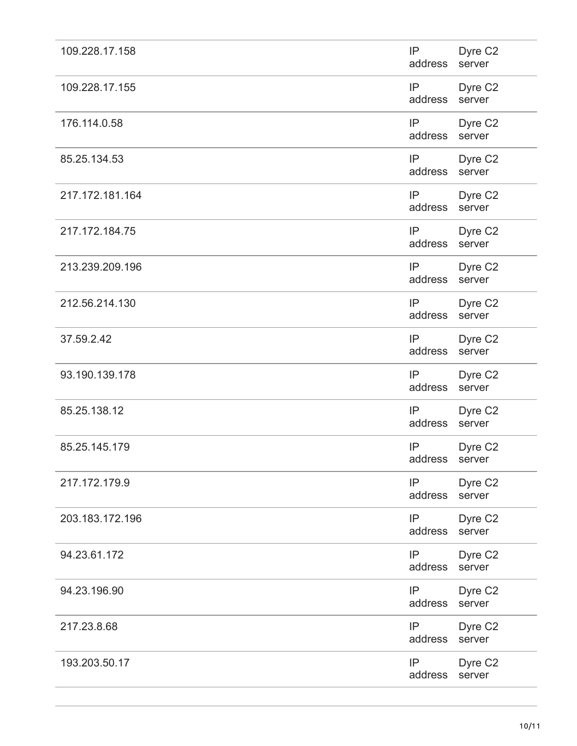| 109.228.17.158  | IP<br>address        | Dyre C <sub>2</sub><br>server |
|-----------------|----------------------|-------------------------------|
| 109.228.17.155  | IP<br>address        | Dyre C <sub>2</sub><br>server |
| 176.114.0.58    | IP<br>address        | Dyre C <sub>2</sub><br>server |
| 85.25.134.53    | IP<br>address        | Dyre C <sub>2</sub><br>server |
| 217.172.181.164 | IP<br>address server | Dyre C <sub>2</sub>           |
| 217.172.184.75  | IP<br>address        | Dyre C <sub>2</sub><br>server |
| 213.239.209.196 | IP<br>address        | Dyre C <sub>2</sub><br>server |
| 212.56.214.130  | IP<br>address        | Dyre C <sub>2</sub><br>server |
| 37.59.2.42      | IP<br>address        | Dyre C <sub>2</sub><br>server |
| 93.190.139.178  | IP<br>address        | Dyre C <sub>2</sub><br>server |
| 85.25.138.12    | IP<br>address        | Dyre C <sub>2</sub><br>server |
| 85.25.145.179   | IP<br>address        | Dyre C <sub>2</sub><br>server |
| 217.172.179.9   | IP<br>address        | Dyre C <sub>2</sub><br>server |
| 203.183.172.196 | IP<br>address        | Dyre C <sub>2</sub><br>server |
| 94.23.61.172    | IP<br>address        | Dyre C <sub>2</sub><br>server |
| 94.23.196.90    | IP<br>address        | Dyre C <sub>2</sub><br>server |
| 217.23.8.68     | IP<br>address        | Dyre C <sub>2</sub><br>server |
| 193.203.50.17   | IP<br>address        | Dyre C <sub>2</sub><br>server |